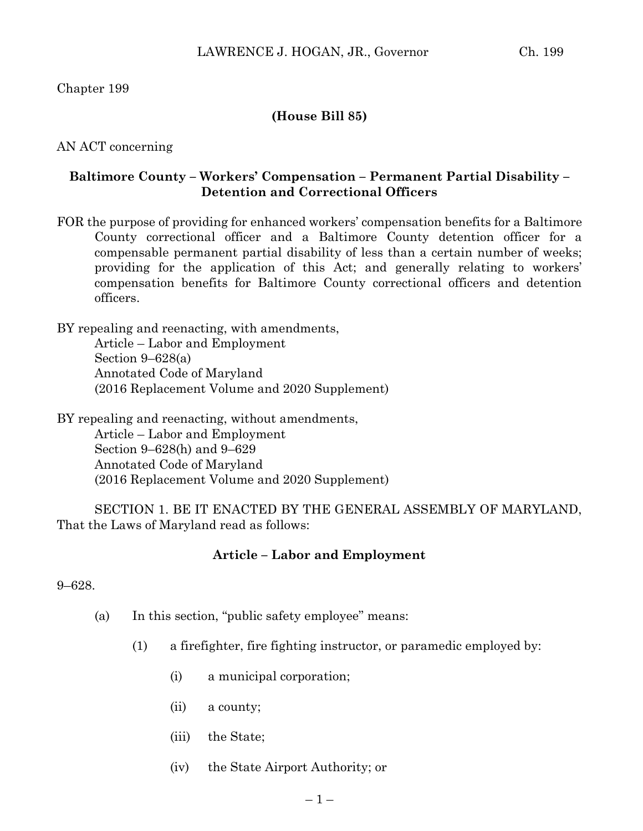# Chapter 199

# **(House Bill 85)**

### AN ACT concerning

## **Baltimore County – Workers' Compensation – Permanent Partial Disability – Detention and Correctional Officers**

FOR the purpose of providing for enhanced workers' compensation benefits for a Baltimore County correctional officer and a Baltimore County detention officer for a compensable permanent partial disability of less than a certain number of weeks; providing for the application of this Act; and generally relating to workers' compensation benefits for Baltimore County correctional officers and detention officers.

BY repealing and reenacting, with amendments, Article – Labor and Employment Section 9–628(a) Annotated Code of Maryland (2016 Replacement Volume and 2020 Supplement)

BY repealing and reenacting, without amendments, Article – Labor and Employment Section 9–628(h) and 9–629 Annotated Code of Maryland (2016 Replacement Volume and 2020 Supplement)

SECTION 1. BE IT ENACTED BY THE GENERAL ASSEMBLY OF MARYLAND, That the Laws of Maryland read as follows:

#### **Article – Labor and Employment**

#### 9–628.

- (a) In this section, "public safety employee" means:
	- (1) a firefighter, fire fighting instructor, or paramedic employed by:
		- (i) a municipal corporation;
		- (ii) a county;
		- (iii) the State;
		- (iv) the State Airport Authority; or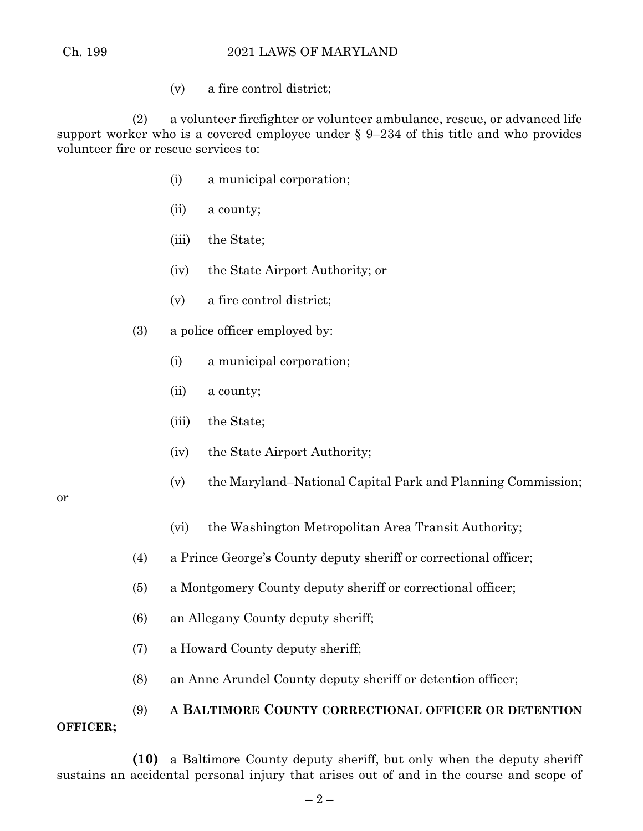(v) a fire control district;

(2) a volunteer firefighter or volunteer ambulance, rescue, or advanced life support worker who is a covered employee under § 9–234 of this title and who provides volunteer fire or rescue services to:

- (i) a municipal corporation;
- (ii) a county;
- (iii) the State;
- (iv) the State Airport Authority; or
- (v) a fire control district;
- (3) a police officer employed by:
	- (i) a municipal corporation;
	- (ii) a county;
	- (iii) the State;
	- (iv) the State Airport Authority;
	- (v) the Maryland–National Capital Park and Planning Commission;

or

- (vi) the Washington Metropolitan Area Transit Authority;
- (4) a Prince George's County deputy sheriff or correctional officer;
- (5) a Montgomery County deputy sheriff or correctional officer;
- (6) an Allegany County deputy sheriff;
- (7) a Howard County deputy sheriff;
- (8) an Anne Arundel County deputy sheriff or detention officer;

# (9) **A BALTIMORE COUNTY CORRECTIONAL OFFICER OR DETENTION OFFICER;**

**(10)** a Baltimore County deputy sheriff, but only when the deputy sheriff sustains an accidental personal injury that arises out of and in the course and scope of